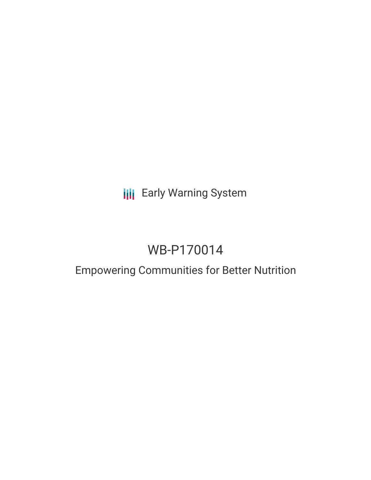# **III** Early Warning System

# WB-P170014

## Empowering Communities for Better Nutrition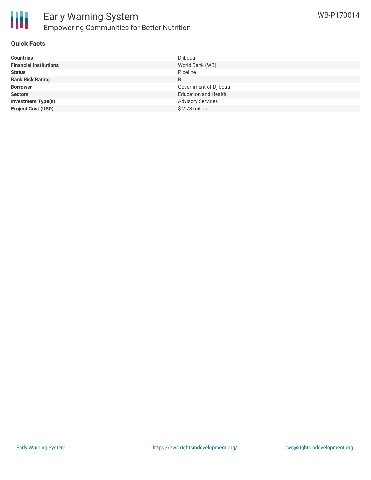

#### **Quick Facts**

| <b>Countries</b>              | Djibouti                    |
|-------------------------------|-----------------------------|
| <b>Financial Institutions</b> | World Bank (WB)             |
| <b>Status</b>                 | Pipeline                    |
| <b>Bank Risk Rating</b>       | B                           |
| <b>Borrower</b>               | Government of Djibouti      |
| <b>Sectors</b>                | <b>Education and Health</b> |
| <b>Investment Type(s)</b>     | <b>Advisory Services</b>    |
| <b>Project Cost (USD)</b>     | \$2.73 million              |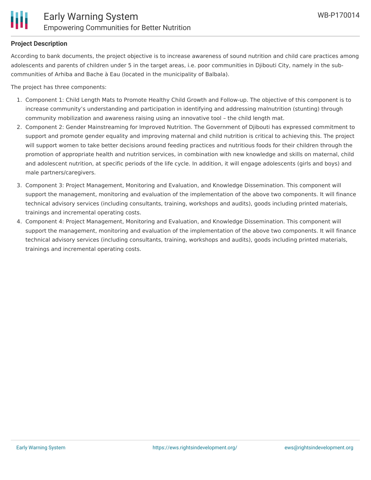#### **Project Description**

According to bank documents, the project objective is to increase awareness of sound nutrition and child care practices among adolescents and parents of children under 5 in the target areas, i.e. poor communities in Djibouti City, namely in the subcommunities of Arhiba and Bache à Eau (located in the municipality of Balbala).

The project has three components:

- 1. Component 1: Child Length Mats to Promote Healthy Child Growth and Follow-up. The objective of this component is to increase community's understanding and participation in identifying and addressing malnutrition (stunting) through community mobilization and awareness raising using an innovative tool – the child length mat.
- 2. Component 2: Gender Mainstreaming for Improved Nutrition. The Government of Djibouti has expressed commitment to support and promote gender equality and improving maternal and child nutrition is critical to achieving this. The project will support women to take better decisions around feeding practices and nutritious foods for their children through the promotion of appropriate health and nutrition services, in combination with new knowledge and skills on maternal, child and adolescent nutrition, at specific periods of the life cycle. In addition, it will engage adolescents (girls and boys) and male partners/caregivers.
- 3. Component 3: Project Management, Monitoring and Evaluation, and Knowledge Dissemination. This component will support the management, monitoring and evaluation of the implementation of the above two components. It will finance technical advisory services (including consultants, training, workshops and audits), goods including printed materials, trainings and incremental operating costs.
- 4. Component 4: Project Management, Monitoring and Evaluation, and Knowledge Dissemination. This component will support the management, monitoring and evaluation of the implementation of the above two components. It will finance technical advisory services (including consultants, training, workshops and audits), goods including printed materials, trainings and incremental operating costs.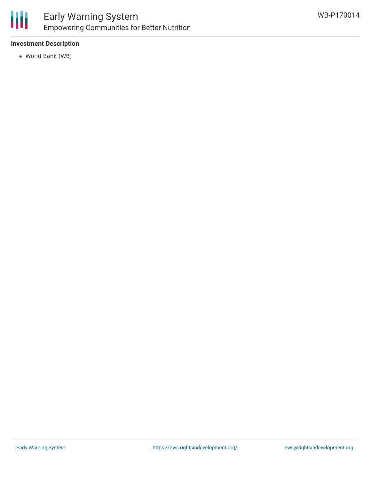

## Early Warning System Empowering Communities for Better Nutrition

#### **Investment Description**

World Bank (WB)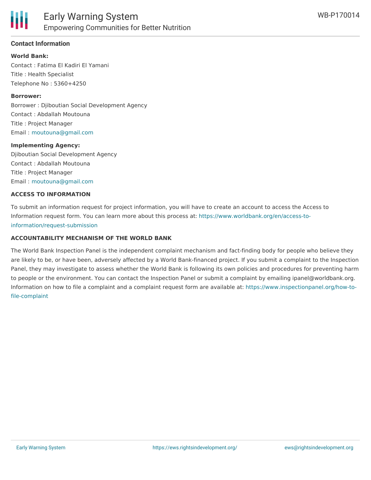

#### **Contact Information**

**World Bank:** Contact : Fatima El Kadiri El Yamani Title : Health Specialist Telephone No : 5360+4250

#### **Borrower:**

Borrower : Djiboutian Social Development Agency Contact : Abdallah Moutouna Title : Project Manager Email : [moutouna@gmail.com](mailto:moutouna@gmail.com)

#### **Implementing Agency:**

Djiboutian Social Development Agency Contact : Abdallah Moutouna Title : Project Manager Email : [moutouna@gmail.com](mailto:moutouna@gmail.com)

#### **ACCESS TO INFORMATION**

To submit an information request for project information, you will have to create an account to access the Access to Information request form. You can learn more about this process at: [https://www.worldbank.org/en/access-to](https://www.worldbank.org/en/access-to-information/request-submission)information/request-submission

#### **ACCOUNTABILITY MECHANISM OF THE WORLD BANK**

The World Bank Inspection Panel is the independent complaint mechanism and fact-finding body for people who believe they are likely to be, or have been, adversely affected by a World Bank-financed project. If you submit a complaint to the Inspection Panel, they may investigate to assess whether the World Bank is following its own policies and procedures for preventing harm to people or the environment. You can contact the Inspection Panel or submit a complaint by emailing ipanel@worldbank.org. Information on how to file a complaint and a complaint request form are available at: [https://www.inspectionpanel.org/how-to](https://www.inspectionpanel.org/how-to-file-complaint)file-complaint